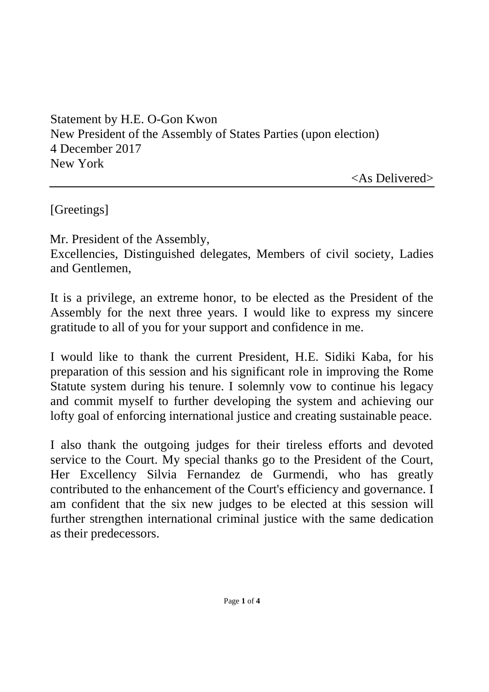Statement by H.E. O-Gon Kwon New President of the Assembly of States Parties (upon election) 4 December 2017 New York

<As Delivered>

[Greetings]

Mr. President of the Assembly,

Excellencies, Distinguished delegates, Members of civil society, Ladies and Gentlemen,

It is a privilege, an extreme honor, to be elected as the President of the Assembly for the next three years. I would like to express my sincere gratitude to all of you for your support and confidence in me.

I would like to thank the current President, H.E. Sidiki Kaba, for his preparation of this session and his significant role in improving the Rome Statute system during his tenure. I solemnly vow to continue his legacy and commit myself to further developing the system and achieving our lofty goal of enforcing international justice and creating sustainable peace.

I also thank the outgoing judges for their tireless efforts and devoted service to the Court. My special thanks go to the President of the Court, Her Excellency Silvia Fernandez de Gurmendi, who has greatly contributed to the enhancement of the Court's efficiency and governance. I am confident that the six new judges to be elected at this session will further strengthen international criminal justice with the same dedication as their predecessors.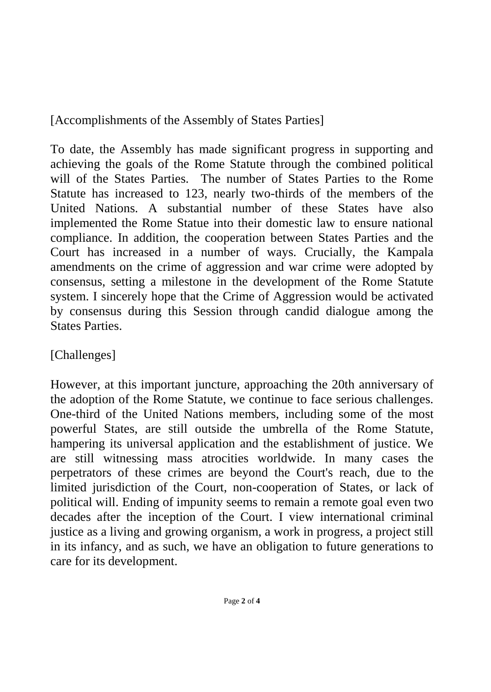[Accomplishments of the Assembly of States Parties]

To date, the Assembly has made significant progress in supporting and achieving the goals of the Rome Statute through the combined political will of the States Parties. The number of States Parties to the Rome Statute has increased to 123, nearly two-thirds of the members of the United Nations. A substantial number of these States have also implemented the Rome Statue into their domestic law to ensure national compliance. In addition, the cooperation between States Parties and the Court has increased in a number of ways. Crucially, the Kampala amendments on the crime of aggression and war crime were adopted by consensus, setting a milestone in the development of the Rome Statute system. I sincerely hope that the Crime of Aggression would be activated by consensus during this Session through candid dialogue among the States Parties.

[Challenges]

However, at this important juncture, approaching the 20th anniversary of the adoption of the Rome Statute, we continue to face serious challenges. One-third of the United Nations members, including some of the most powerful States, are still outside the umbrella of the Rome Statute, hampering its universal application and the establishment of justice. We are still witnessing mass atrocities worldwide. In many cases the perpetrators of these crimes are beyond the Court's reach, due to the limited jurisdiction of the Court, non-cooperation of States, or lack of political will. Ending of impunity seems to remain a remote goal even two decades after the inception of the Court. I view international criminal justice as a living and growing organism, a work in progress, a project still in its infancy, and as such, we have an obligation to future generations to care for its development.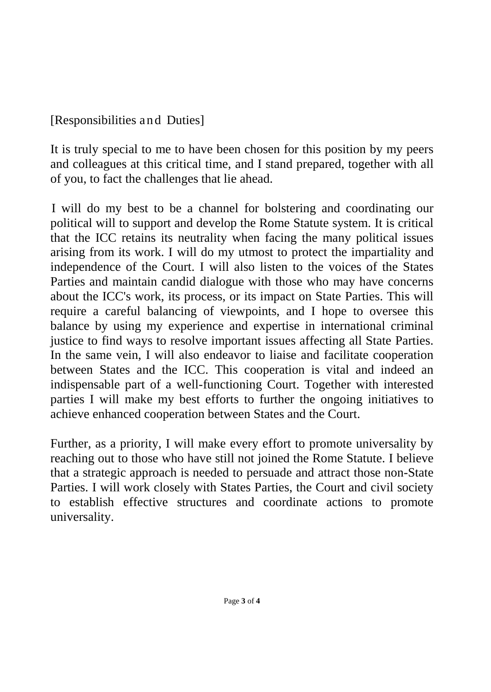## [Responsibilities and Duties]

It is truly special to me to have been chosen for this position by my peers and colleagues at this critical time, and I stand prepared, together with all of you, to fact the challenges that lie ahead.

I will do my best to be a channel for bolstering and coordinating our political will to support and develop the Rome Statute system. It is critical that the ICC retains its neutrality when facing the many political issues arising from its work. I will do my utmost to protect the impartiality and independence of the Court. I will also listen to the voices of the States Parties and maintain candid dialogue with those who may have concerns about the ICC's work, its process, or its impact on State Parties. This will require a careful balancing of viewpoints, and I hope to oversee this balance by using my experience and expertise in international criminal justice to find ways to resolve important issues affecting all State Parties. In the same vein, I will also endeavor to liaise and facilitate cooperation between States and the ICC. This cooperation is vital and indeed an indispensable part of a well-functioning Court. Together with interested parties I will make my best efforts to further the ongoing initiatives to achieve enhanced cooperation between States and the Court.

Further, as a priority, I will make every effort to promote universality by reaching out to those who have still not joined the Rome Statute. I believe that a strategic approach is needed to persuade and attract those non-State Parties. I will work closely with States Parties, the Court and civil society to establish effective structures and coordinate actions to promote universality.